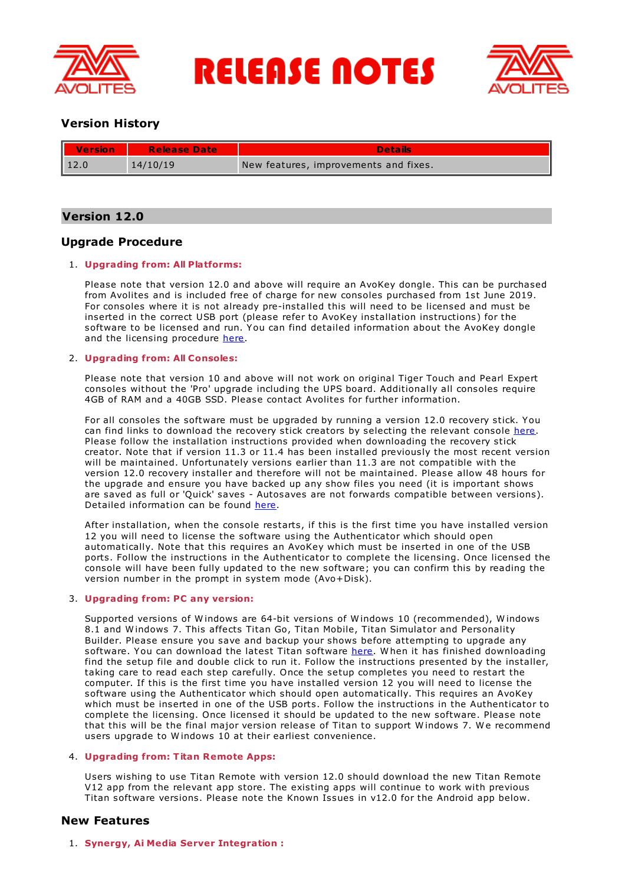

**RELEASE NOTES** 



# **Version History**

| <b>Version</b> | <b>Release Date</b> | Details                               |
|----------------|---------------------|---------------------------------------|
| $\vert$ 12.0   | 14/10/19            | New features, improvements and fixes. |

# **Version 12.0**

# **Upgrade Procedure**

## 1. **Upgrading from: All Platforms:**

Please note that version 12.0 and above will require an AvoKey dongle. This can be purchased from Avolites and is included free of charge for new consoles purchased from 1st June 2019. For consoles where it is not already pre-installed this will need to be licensed and must be inserted in the correct USB port (please refer to AvoKey installation instructions) for the software to be licensed and run. You can find detailed information about the AvoKey dongle and the licensing procedure [here](https://www.avolites.com/avokey).

## 2. **Upgrading from: All Consoles:**

Please note that version 10 and above will not work on original Tiger Touch and Pearl Expert consoles without the 'Pro' upgrade including the UPS board. Additionally all consoles require 4GB of RAM and a 40GB SSD. Please contact Avolites for further information.

For all consoles the software must be upgraded by running a version 12.0 recovery stick. You can find links to download the recovery stick creators by selecting the relevant console [here](http://www.avolites.com/software/latest-version). Please follow the installation instructions provided when downloading the recovery stick creator. Note that if version 11.3 or 11.4 has been installed previously the most recent version will be maintained. Unfortunately versions earlier than 11.3 are not compatible with the version 12.0 recovery installer and therefore will not be maintained. Please allow 48 hours for the upgrade and ensure you have backed up any show files you need (it is important shows are saved as full or 'Quick' saves - Autosaves are not forwards compatible between versions). Detailed information can be found [here](https://www.avolites.com/software/downloads/recovery-stick-instructions).

After installation, when the console restarts, if this is the first time you have installed version 12 you will need to license the software using the Authenticator which should open automatically. Note that this requires an AvoKey which must be inserted in one of the USB ports. Follow the instructions in the Authenticator to complete the licensing. Once licensed the console will have been fully updated to the new software; you can confirm this by reading the version number in the prompt in system mode (Avo+Disk).

## 3. **Upgrading from: PC any version:**

Supported versions of W indows are 64-bit versions of W indows 10 (recommended), W indows 8.1 and W indows 7. This affects Titan Go, Titan Mobile, Titan Simulator and Personality Builder. Please ensure you save and backup your shows before attempting to upgrade any software. You can download the latest Titan software [here](http://www.avolites.com/software/latest-version). W hen it has finished downloading find the setup file and double click to run it. Follow the instructions presented by the installer, taking care to read each step carefully. Once the setup completes you need to restart the computer. If this is the first time you have installed version 12 you will need to license the software using the Authenticator which should open automatically. This requires an AvoKey which must be inserted in one of the USB ports. Follow the instructions in the Authenticator to complete the licensing. Once licensed it should be updated to the new software. Please note that this will be the final major version release of Titan to support Windows 7. We recommend users upgrade to W indows 10 at their earliest convenience.

## 4. **Upgrading from: Titan Remote Apps:**

Users wishing to use Titan Remote with version 12.0 should download the new Titan Remote V12 app from the relevant app store. The existing apps will continue to work with previous Titan software versions. Please note the Known Issues in v12.0 for the Android app below.

# **New Features**

## 1. **Synergy, Ai Media Server Integration :**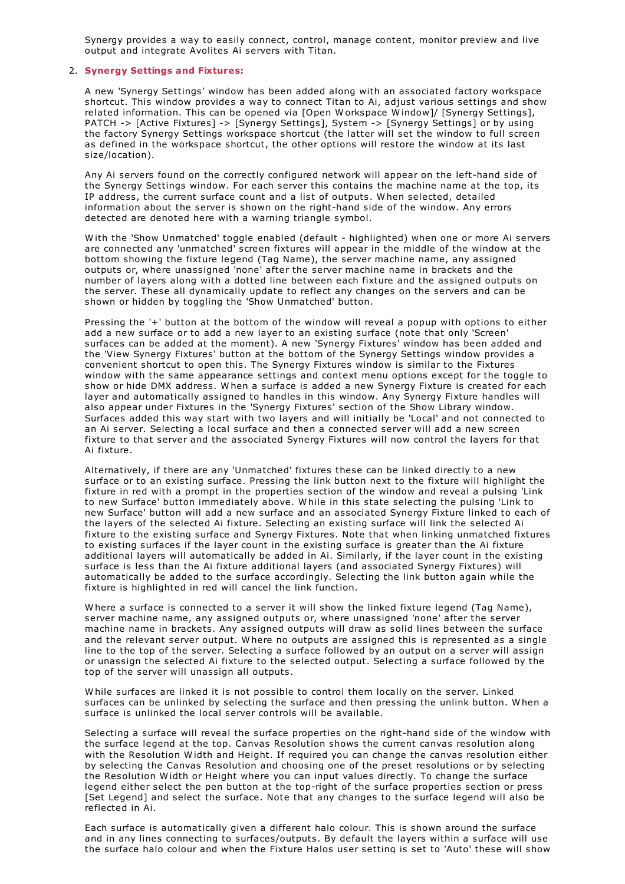Synergy provides a way to easily connect, control, manage content, monitor preview and live output and integrate Avolites Ai servers with Titan.

## 2. **Synergy Settings and Fixtures:**

A new 'Synergy Settings' window has been added along with an associated factory workspace shortcut. This window provides a way to connect Titan to Ai, adjust various settings and show related information. This can be opened via [Open W orkspace W indow]/ [Synergy Settings], PATCH -> [Active Fixtures] -> [Synergy Settings], System -> [Synergy Settings] or by using the factory Synergy Settings workspace shortcut (the latter will set the window to full screen as defined in the workspace shortcut, the other options will restore the window at its last size/location).

Any Ai servers found on the correctly configured network will appear on the left-hand side of the Synergy Settings window. For each server this contains the machine name at the top, its IP address, the current surface count and a list of outputs. W hen selected, detailed information about the server is shown on the right-hand side of the window. Any errors detected are denoted here with a warning triangle symbol.

W ith the 'Show Unmatched' toggle enabled (default - highlighted) when one or more Ai servers are connected any 'unmatched' screen fixtures will appear in the middle of the window at the bottom showing the fixture legend (Tag Name), the server machine name, any assigned outputs or, where unassigned 'none' after the server machine name in brackets and the number of layers along with a dotted line between each fixture and the assigned outputs on the server. These all dynamically update to reflect any changes on the servers and can be shown or hidden by toggling the 'Show Unmatched' button.

Pressing the '+' button at the bottom of the window will reveal a popup with options to either add a new surface or to add a new layer to an existing surface (note that only 'Screen' surfaces can be added at the moment). A new 'Synergy Fixtures' window has been added and the 'View Synergy Fixtures' button at the bottom of the Synergy Settings window provides a convenient shortcut to open this. The Synergy Fixtures window is similar to the Fixtures window with the same appearance settings and context menu options except for the toggle to show or hide DMX address. W hen a surface is added a new Synergy Fixture is created for each layer and automatically assigned to handles in this window. Any Synergy Fixture handles will also appear under Fixtures in the 'Synergy Fixtures' section of the Show Library window. Surfaces added this way start with two layers and will initially be 'Local' and not connected to an Ai server. Selecting a local surface and then a connected server will add a new screen fixture to that server and the associated Synergy Fixtures will now control the layers for that Ai fixture.

Alternatively, if there are any 'Unmatched' fixtures these can be linked directly to a new surface or to an existing surface. Pressing the link button next to the fixture will highlight the fixture in red with a prompt in the properties section of the window and reveal a pulsing 'Link to new Surface' button immediately above. W hile in this state selecting the pulsing 'Link to new Surface' button will add a new surface and an associated Synergy Fixture linked to each of the layers of the selected Ai fixture. Selecting an existing surface will link the selected Ai fixture to the existing surface and Synergy Fixtures. Note that when linking unmatched fixtures to existing surfaces if the layer count in the existing surface is greater than the Ai fixture additional layers will automatically be added in Ai. Similarly, if the layer count in the existing surface is less than the Ai fixture additional layers (and associated Synergy Fixtures) will automatically be added to the surface accordingly. Selecting the link button again while the fixture is highlighted in red will cancel the link function.

W here a surface is connected to a server it will show the linked fixture legend (Tag Name), server machine name, any assigned outputs or, where unassigned 'none' after the server machine name in brackets. Any assigned outputs will draw as solid lines between the surface and the relevant server output. W here no outputs are assigned this is represented as a single line to the top of the server. Selecting a surface followed by an output on a server will assign or unassign the selected Ai fixture to the selected output. Selecting a surface followed by the top of the server will unassign all outputs.

W hile surfaces are linked it is not possible to control them locally on the server. Linked surfaces can be unlinked by selecting the surface and then pressing the unlink button. W hen a surface is unlinked the local server controls will be available.

Selecting a surface will reveal the surface properties on the right-hand side of the window with the surface legend at the top. Canvas Resolution shows the current canvas resolution along with the Resolution Width and Height. If required you can change the canvas resolution either by selecting the Canvas Resolution and choosing one of the preset resolutions or by selecting the Resolution W idth or Height where you can input values directly. To change the surface legend either select the pen button at the top-right of the surface properties section or press [Set Legend] and select the surface. Note that any changes to the surface legend will also be reflected in Ai.

Each surface is automatically given a different halo colour. This is shown around the surface and in any lines connecting to surfaces/outputs. By default the layers within a surface will use the surface halo colour and when the Fixture Halos user setting is set to 'Auto' these will show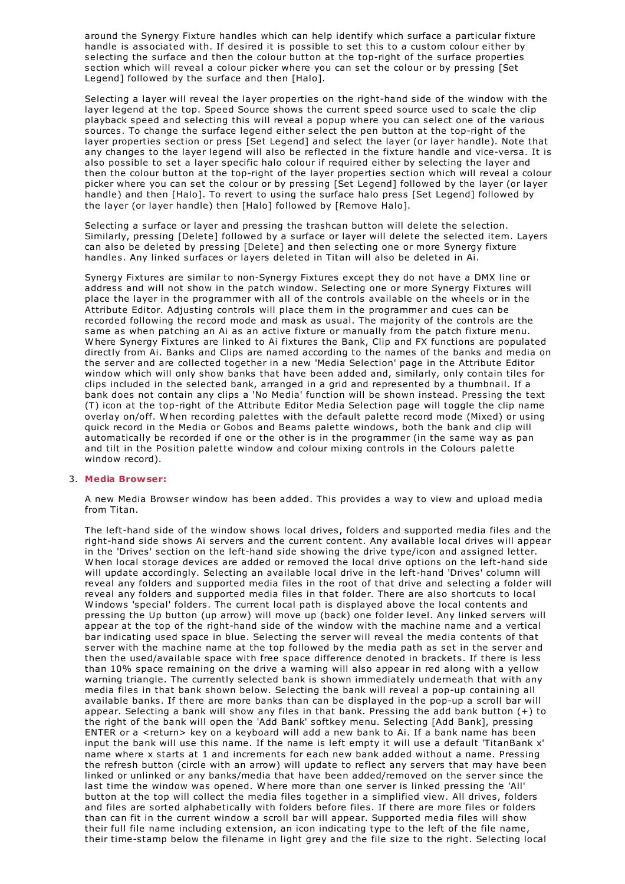around the Synergy Fixture handles which can help identify which surface a particular fixture handle is associated with. If desired it is possible to set this to a custom colour either by selecting the surface and then the colour button at the top-right of the surface properties section which will reveal a colour picker where you can set the colour or by pressing [Set Legend] followed by the surface and then [Halo].

Selecting a layer will reveal the layer properties on the right-hand side of the window with the layer legend at the top. Speed Source shows the current speed source used to scale the clip playback speed and selecting this will reveal a popup where you can select one of the various sources. To change the surface legend either select the pen button at the top-right of the layer properties section or press [Set Legend] and select the layer (or layer handle). Note that any changes to the layer legend will also be reflected in the fixture handle and vice-versa. It is also possible to set a layer specific halo colour if required either by selecting the layer and then the colour button at the top-right of the layer properties section which will reveal a colour picker where you can set the colour or by pressing [Set Legend] followed by the layer (or layer handle) and then [Halo]. To revert to using the surface halo press [Set Legend] followed by the layer (or layer handle) then [Halo] followed by [Remove Halo].

Selecting a surface or layer and pressing the trashcan button will delete the selection. Similarly, pressing [Delete] followed by a surface or layer will delete the selected item. Layers can also be deleted by pressing [Delete] and then selecting one or more Synergy fixture handles. Any linked surfaces or layers deleted in Titan will also be deleted in Ai.

Synergy Fixtures are similar to non-Synergy Fixtures except they do not have a DMX line or address and will not show in the patch window. Selecting one or more Synergy Fixtures will place the layer in the programmer with all of the controls available on the wheels or in the Attribute Editor. Adjusting controls will place them in the programmer and cues can be recorded following the record mode and mask as usual. The majority of the controls are the same as when patching an Ai as an active fixture or manually from the patch fixture menu.<br>W here Synergy Fixtures are linked to Ai fixtures the Bank, Clip and FX functions are populated directly from Ai. Banks and Clips are named according to the names of the banks and media on the server and are collected together in a new 'Media Selection' page in the Attribute Editor window which will only show banks that have been added and, similarly, only contain tiles for clips included in the selected bank, arranged in a grid and represented by a thumbnail. If a bank does not contain any clips a 'No Media' function will be shown instead. Pressing the text (T) icon at the top-right of the Attribute Editor Media Selection page will toggle the clip name overlay on/off. W hen recording palettes with the default palette record mode (Mixed) or using quick record in the Media or Gobos and Beams palette windows, both the bank and clip will automatically be recorded if one or the other is in the programmer (in the same way as pan and tilt in the Position palette window and colour mixing controls in the Colours palette window record).

#### 3. **Media Browser:**

A new Media Browser window has been added. This provides a way to view and upload media from Titan.

The left-hand side of the window shows local drives, folders and supported media files and the right-hand side shows Ai servers and the current content. Any available local drives will appear in the 'Drives' section on the left-hand side showing the drive type/icon and assigned letter. <sup>W</sup> hen local storage devices are added or removed the local drive options on the left-hand side will update accordingly. Selecting an available local drive in the left-hand 'Drives' column will reveal any folders and supported media files in the root of that drive and selecting a folder will reveal any folders and supported media files in that folder. There are also shortcuts to local Windows 'special' folders. The current local path is displayed above the local contents and pressing the Up button (up arrow) will move up (back) one folder level. Any linked servers will appear at the top of the right-hand side of the window with the machine name and a vertical bar indicating used space in blue. Selecting the server will reveal the media contents of that server with the machine name at the top followed by the media path as set in the server and then the used/available space with free space difference denoted in brackets. If there is less than 10% space remaining on the drive a warning will also appear in red along with a yellow warning triangle. The currently selected bank is shown immediately underneath that with any media files in that bank shown below. Selecting the bank will reveal a pop-up containing all available banks. If there are more banks than can be displayed in the pop-up a scroll bar will appear. Selecting a bank will show any files in that bank. Pressing the add bank button (+) to the right of the bank will open the 'Add Bank' softkey menu. Selecting [Add Bank], pressing ENTER or a <return> key on a keyboard will add a new bank to Ai. If a bank name has been input the bank will use this name. If the name is left empty it will use a default 'TitanBank x' name where x starts at 1 and increments for each new bank added without a name. Pressing the refresh button (circle with an arrow) will update to reflect any servers that may have been linked or unlinked or any banks/media that have been added/removed on the server since the last time the window was opened. W here more than one server is linked pressing the 'All' button at the top will collect the media files together in a simplified view. All drives, folders and files are sorted alphabetically with folders before files. If there are more files or folders than can fit in the current window a scroll bar will appear. Supported media files will show their full file name including extension, an icon indicating type to the left of the file name, their time-stamp below the filename in light grey and the file size to the right. Selecting local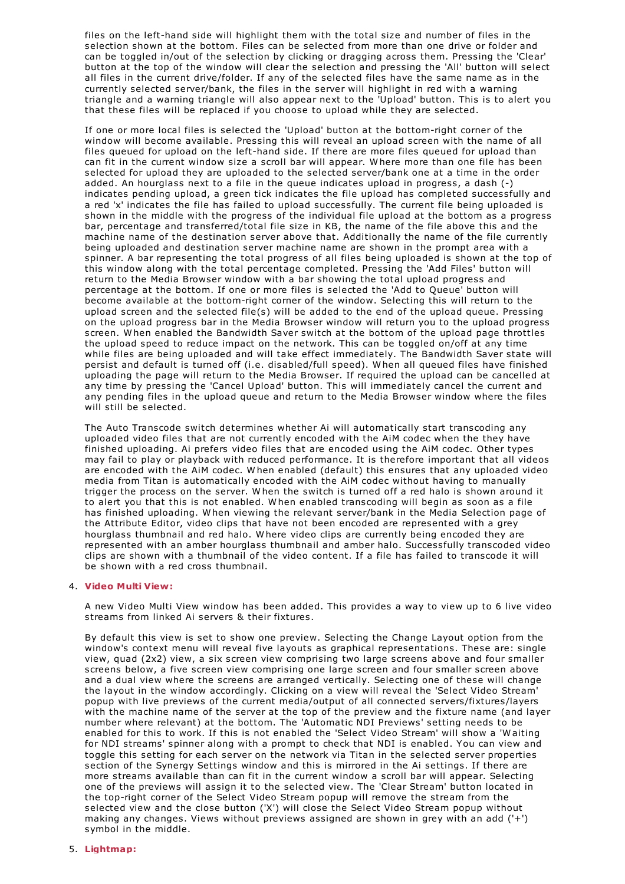files on the left-hand side will highlight them with the total size and number of files in the selection shown at the bottom. Files can be selected from more than one drive or folder and can be toggled in/out of the selection by clicking or dragging across them. Pressing the 'Clear' button at the top of the window will clear the selection and pressing the 'All' button will select all files in the current drive/folder. If any of the selected files have the same name as in the currently selected server/bank, the files in the server will highlight in red with a warning triangle and a warning triangle will also appear next to the 'Upload' button. This is to alert you that these files will be replaced if you choose to upload while they are selected.

If one or more local files is selected the 'Upload' button at the bottom-right corner of the window will become available. Pressing this will reveal an upload screen with the name of all files queued for upload on the left-hand side. If there are more files queued for upload than can fit in the current window size a scroll bar will appear. W here more than one file has been selected for upload they are uploaded to the selected server/bank one at a time in the order added. An hourglass next to a file in the queue indicates upload in progress, a dash (-) indicates pending upload, a green tick indicates the file upload has completed successfully and a red 'x' indicates the file has failed to upload successfully. The current file being uploaded is shown in the middle with the progress of the individual file upload at the bottom as a progress bar, percentage and transferred/total file size in KB, the name of the file above this and the machine name of the destination server above that. Additionally the name of the file currently being uploaded and destination server machine name are shown in the prompt area with a spinner. A bar representing the total progress of all files being uploaded is shown at the top of this window along with the total percentage completed. Pressing the 'Add Files' button will return to the Media Browser window with a bar showing the total upload progress and percentage at the bottom. If one or more files is selected the 'Add to Queue' button will become available at the bottom-right corner of the window. Selecting this will return to the upload screen and the selected file(s) will be added to the end of the upload queue. Pressing on the upload progress bar in the Media Browser window will return you to the upload progress screen. W hen enabled the Bandwidth Saver switch at the bottom of the upload page throttles the upload speed to reduce impact on the network. This can be toggled on/off at any time while files are being uploaded and will take effect immediately. The Bandwidth Saver state will persist and default is turned off (i.e. disabled/full speed). W hen all queued files have finished uploading the page will return to the Media Browser. If required the upload can be cancelled at any time by pressing the 'Cancel Upload' button. This will immediately cancel the current and any pending files in the upload queue and return to the Media Browser window where the files will still be selected.

The Auto Transcode switch determines whether Ai will automatically start transcoding any uploaded video files that are not currently encoded with the AiM codec when the they have finished uploading. Ai prefers video files that are encoded using the AiM codec. Other types may fail to play or playback with reduced performance. It is therefore important that all videos are encoded with the AiM codec. W hen enabled (default) this ensures that any uploaded video media from Titan is automatically encoded with the AiM codec without having to manually trigger the process on the server. W hen the switch is turned off a red halo is shown around it to alert you that this is not enabled. W hen enabled transcoding will begin as soon as a file has finished uploading. W hen viewing the relevant server/bank in the Media Selection page of the Attribute Editor, video clips that have not been encoded are represented with a grey hourglass thumbnail and red halo. W here video clips are currently being encoded they are represented with an amber hourglass thumbnail and amber halo. Successfully transcoded video clips are shown with a thumbnail of the video content. If a file has failed to transcode it will be shown with a red cross thumbnail.

## 4. **Video Multi View:**

A new Video Multi View window has been added. This provides a way to view up to 6 live video streams from linked Ai servers & their fixtures.

By default this view is set to show one preview. Selecting the Change Layout option from the window's context menu will reveal five layouts as graphical representations. These are: single view, quad (2x2) view, a six screen view comprising two large screens above and four smaller screens below, a five screen view comprising one large screen and four smaller screen above and a dual view where the screens are arranged vertically. Selecting one of these will change the layout in the window accordingly. Clicking on a view will reveal the 'Select Video Stream' popup with live previews of the current media/output of all connected servers/fixtures/layers with the machine name of the server at the top of the preview and the fixture name (and layer number where relevant) at the bottom. The 'Automatic NDI Previews' setting needs to be enabled for this to work. If this is not enabled the 'Select Video Stream' will show a 'W aiting for NDI streams' spinner along with a prompt to check that NDI is enabled. You can view and toggle this setting for each server on the network via Titan in the selected server properties section of the Synergy Settings window and this is mirrored in the Ai settings. If there are more streams available than can fit in the current window a scroll bar will appear. Selecting one of the previews will assign it to the selected view. The 'Clear Stream' button located in the top-right corner of the Select Video Stream popup will remove the stream from the selected view and the close button ('X') will close the Select Video Stream popup without making any changes. Views without previews assigned are shown in grey with an add ('+') symbol in the middle.

### 5. **Lightmap:**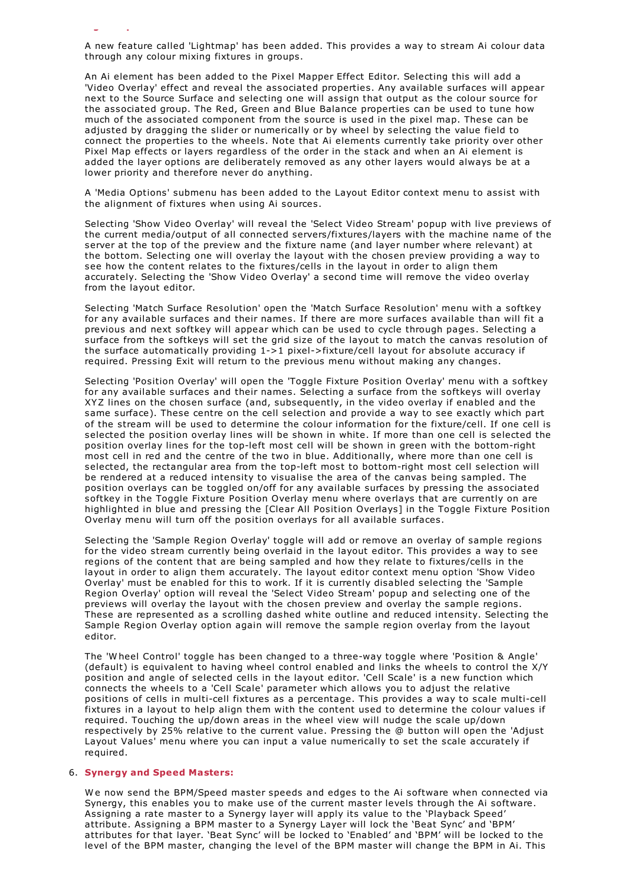A new feature called 'Lightmap' has been added. This provides a way to stream Ai colour data through any colour mixing fixtures in groups.

An Ai element has been added to the Pixel Mapper Effect Editor. Selecting this will add a 'Video Overlay' effect and reveal the associated properties. Any available surfaces will appear next to the Source Surface and selecting one will assign that output as the colour source for the associated group. The Red, Green and Blue Balance properties can be used to tune how much of the associated component from the source is used in the pixel map. These can be adjusted by dragging the slider or numerically or by wheel by selecting the value field to connect the properties to the wheels. Note that Ai elements currently take priority over other Pixel Map effects or layers regardless of the order in the stack and when an Ai element is added the layer options are deliberately removed as any other layers would always be at a lower priority and therefore never do anything.

A 'Media Options' submenu has been added to the Layout Editor context menu to assist with the alignment of fixtures when using Ai sources.

Selecting 'Show Video Overlay' will reveal the 'Select Video Stream' popup with live previews of the current media/output of all connected servers/fixtures/layers with the machine name of the server at the top of the preview and the fixture name (and layer number where relevant) at the bottom. Selecting one will overlay the layout with the chosen preview providing a way to see how the content relates to the fixtures/cells in the layout in order to align them accurately. Selecting the 'Show Video Overlay' a second time will remove the video overlay from the layout editor.

Selecting 'Match Surface Resolution' open the 'Match Surface Resolution' menu with a softkey for any available surfaces and their names. If there are more surfaces available than will fit a previous and next softkey will appear which can be used to cycle through pages. Selecting a surface from the softkeys will set the grid size of the layout to match the canvas resolution of the surface automatically providing 1->1 pixel->fixture/cell layout for absolute accuracy if required. Pressing Exit will return to the previous menu without making any changes.

Selecting 'Position Overlay' will open the 'Toggle Fixture Position Overlay' menu with a softkey for any available surfaces and their names. Selecting a surface from the softkeys will overlay XYZ lines on the chosen surface (and, subsequently, in the video overlay if enabled and the same surface). These centre on the cell selection and provide a way to see exactly which part of the stream will be used to determine the colour information for the fixture/cell. If one cell is selected the position overlay lines will be shown in white. If more than one cell is selected the position overlay lines for the top-left most cell will be shown in green with the bottom-right most cell in red and the centre of the two in blue. Additionally, where more than one cell is selected, the rectangular area from the top-left most to bottom-right most cell selection will be rendered at a reduced intensity to visualise the area of the canvas being sampled. The position overlays can be toggled on/off for any available surfaces by pressing the associated softkey in the Toggle Fixture Position Overlay menu where overlays that are currently on are highlighted in blue and pressing the [Clear All Position Overlays] in the Toggle Fixture Position Overlay menu will turn off the position overlays for all available surfaces.

Selecting the 'Sample Region Overlay' toggle will add or remove an overlay of sample regions for the video stream currently being overlaid in the layout editor. This provides a way to see regions of the content that are being sampled and how they relate to fixtures/cells in the layout in order to align them accurately. The layout editor context menu option 'Show Video Overlay' must be enabled for this to work. If it is currently disabled selecting the 'Sample Region Overlay' option will reveal the 'Select Video Stream' popup and selecting one of the previews will overlay the layout with the chosen preview and overlay the sample regions. These are represented as a scrolling dashed white outline and reduced intensity. Selecting the Sample Region Overlay option again will remove the sample region overlay from the layout editor.

The 'W heel Control' toggle has been changed to a three-way toggle where 'Position & Angle' (default) is equivalent to having wheel control enabled and links the wheels to control the X/Y position and angle of selected cells in the layout editor. 'Cell Scale' is a new function which connects the wheels to a 'Cell Scale' parameter which allows you to adjust the relative positions of cells in multi-cell fixtures as a percentage. This provides a way to scale multi-cell fixtures in a layout to help align them with the content used to determine the colour values if required. Touching the up/down areas in the wheel view will nudge the scale up/down respectively by 25% relative to the current value. Pressing the @ button will open the 'Adjust Layout Values' menu where you can input a value numerically to set the scale accurately if required.

## 6. **Synergy and Speed Masters:**

5. **Lightmap:**

W e now send the BPM/Speed master speeds and edges to the Ai software when connected via Synergy, this enables you to make use of the current master levels through the Ai software. Assigning a rate master to a Synergy layer will apply its value to the 'Playback Speed' attribute. Assigning a BPM master to a Synergy Layer will lock the 'Beat Sync' and 'BPM' attributes for that layer. 'Beat Sync' will be locked to 'Enabled' and 'BPM' will be locked to the level of the BPM master, changing the level of the BPM master will change the BPM in Ai. This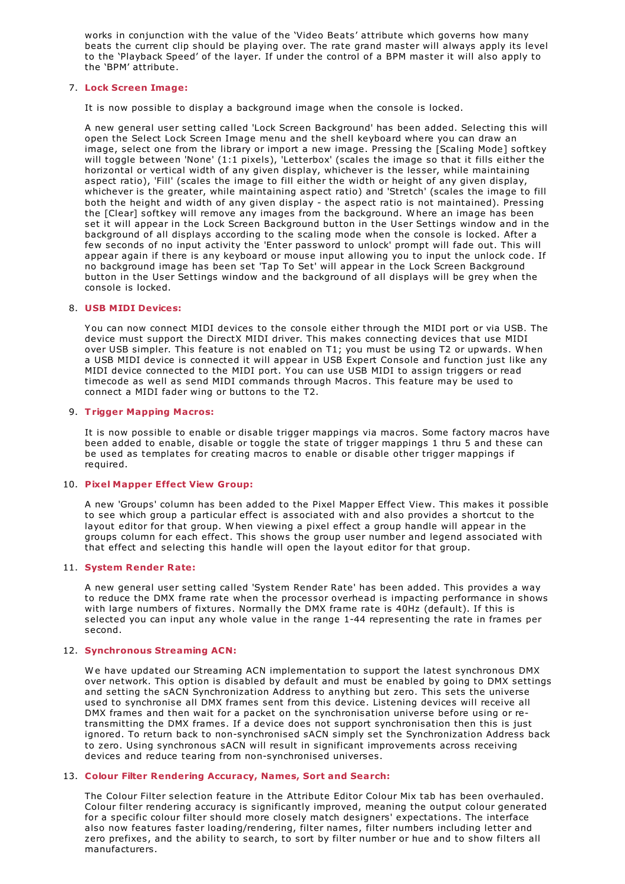works in conjunction with the value of the 'Video Beats' attribute which governs how many beats the current clip should be playing over. The rate grand master will always apply its level to the 'Playback Speed' of the layer. If under the control of a BPM master it will also apply to the 'BPM' attribute.

## 7. **Lock Screen Image:**

It is now possible to display a background image when the console is locked.

A new general user setting called 'Lock Screen Background' has been added. Selecting this will open the Select Lock Screen Image menu and the shell keyboard where you can draw an image, select one from the library or import a new image. Pressing the [Scaling Mode] softkey will toggle between 'None' (1:1 pixels), 'Letterbox' (scales the image so that it fills either the horizontal or vertical width of any given display, whichever is the lesser, while maintaining aspect ratio), 'Fill' (scales the image to fill either the width or height of any given display, whichever is the greater, while maintaining aspect ratio) and 'Stretch' (scales the image to fill both the height and width of any given display - the aspect ratio is not maintained). Pressing the [Clear] softkey will remove any images from the background. W here an image has been set it will appear in the Lock Screen Background button in the User Settings window and in the background of all displays according to the scaling mode when the console is locked. After a few seconds of no input activity the 'Enter password to unlock' prompt will fade out. This will appear again if there is any keyboard or mouse input allowing you to input the unlock code. If no background image has been set 'Tap To Set' will appear in the Lock Screen Background button in the User Settings window and the background of all displays will be grey when the console is locked.

## 8. **USB MIDI Devices:**

You can now connect MIDI devices to the console either through the MIDI port or via USB. The device must support the DirectX MIDI driver. This makes connecting devices that use MIDI over USB simpler. This feature is not enabled on T1; you must be using T2 or upwards. W hen a USB MIDI device is connected it will appear in USB Expert Console and function just like any MIDI device connected to the MIDI port. You can use USB MIDI to assign triggers or read timecode as well as send MIDI commands through Macros. This feature may be used to connect a MIDI fader wing or buttons to the T2.

### 9. **Trigger Mapping Macros:**

It is now possible to enable or disable trigger mappings via macros. Some factory macros have been added to enable, disable or toggle the state of trigger mappings 1 thru 5 and these can be used as templates for creating macros to enable or disable other trigger mappings if required.

#### 10. **Pixel Mapper Effect View Group:**

A new 'Groups' column has been added to the Pixel Mapper Effect View. This makes it possible to see which group a particular effect is associated with and also provides a shortcut to the layout editor for that group. W hen viewing a pixel effect a group handle will appear in the groups column for each effect. This shows the group user number and legend associated with that effect and selecting this handle will open the layout editor for that group.

## 11. **System Render Rate:**

A new general user setting called 'System Render Rate' has been added. This provides a way to reduce the DMX frame rate when the processor overhead is impacting performance in shows with large numbers of fixtures. Normally the DMX frame rate is 40Hz (default). If this is selected you can input any whole value in the range 1-44 representing the rate in frames per second.

## 12. **Synchronous Streaming ACN:**

We have updated our Streaming ACN implementation to support the latest synchronous DMX over network. This option is disabled by default and must be enabled by going to DMX settings and setting the sACN Synchronization Address to anything but zero. This sets the universe used to synchronise all DMX frames sent from this device. Listening devices will receive all DMX frames and then wait for a packet on the synchronisation universe before using or retransmitting the DMX frames. If a device does not support synchronisation then this is just ignored. To return back to non-synchronised sACN simply set the Synchronization Address back to zero. Using synchronous sACN will result in significant improvements across receiving devices and reduce tearing from non-synchronised universes.

## 13. **Colour Filter Rendering Accuracy, Names, Sort and Search:**

The Colour Filter selection feature in the Attribute Editor Colour Mix tab has been overhauled. Colour filter rendering accuracy is significantly improved, meaning the output colour generated for a specific colour filter should more closely match designers' expectations. The interface also now features faster loading/rendering, filter names, filter numbers including letter and zero prefixes, and the ability to search, to sort by filter number or hue and to show filters all manufacturers.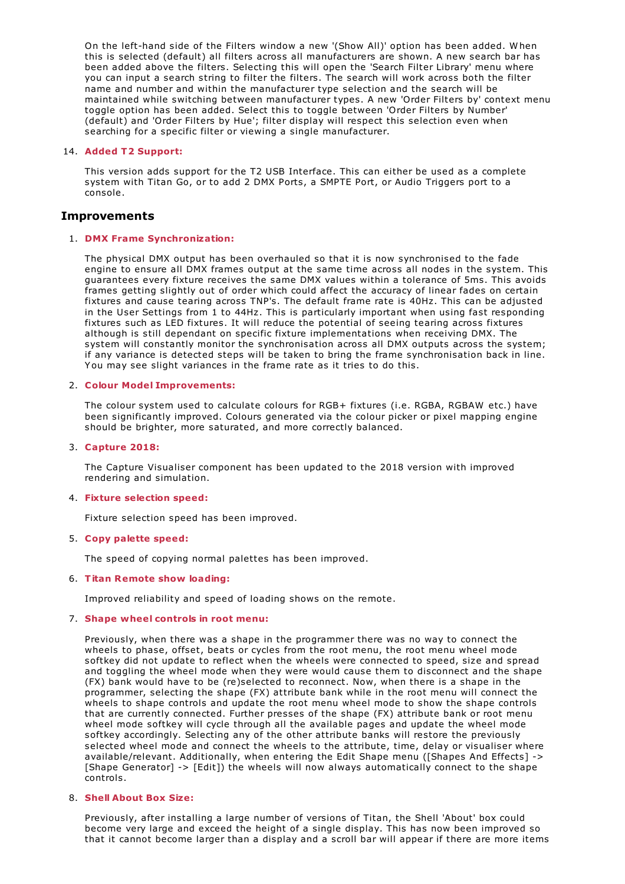On the left-hand side of the Filters window a new '(Show All)' option has been added. W hen this is selected (default) all filters across all manufacturers are shown. A new search bar has been added above the filters. Selecting this will open the 'Search Filter Library' menu where you can input a search string to filter the filters. The search will work across both the filter name and number and within the manufacturer type selection and the search will be maintained while switching between manufacturer types. A new 'Order Filters by' context menu toggle option has been added. Select this to toggle between 'Order Filters by Number' (default) and 'Order Filters by Hue'; filter display will respect this selection even when searching for a specific filter or viewing a single manufacturer.

### 14. **Added T2 Support:**

This version adds support for the T2 USB Interface. This can either be used as a complete system with Titan Go, or to add 2 DMX Ports, a SMPTE Port, or Audio Triggers port to a console.

## **Improvements**

### 1. **DMX Frame Synchronization:**

The physical DMX output has been overhauled so that it is now synchronised to the fade engine to ensure all DMX frames output at the same time across all nodes in the system. This guarantees every fixture receives the same DMX values within a tolerance of 5ms. This avoids frames getting slightly out of order which could affect the accuracy of linear fades on certain fixtures and cause tearing across TNP's. The default frame rate is 40Hz. This can be adjusted in the User Settings from 1 to 44Hz. This is particularly important when using fast responding fixtures such as LED fixtures. It will reduce the potential of seeing tearing across fixtures although is still dependant on specific fixture implementations when receiving DMX. The system will constantly monitor the synchronisation across all DMX outputs across the system; if any variance is detected steps will be taken to bring the frame synchronisation back in line. You may see slight variances in the frame rate as it tries to do this.

## 2. **Colour Model Improvements:**

The colour system used to calculate colours for RGB+ fixtures (i.e. RGBA, RGBAW etc.) have been significantly improved. Colours generated via the colour picker or pixel mapping engine should be brighter, more saturated, and more correctly balanced.

#### 3. **Capture 2018:**

The Capture Visualiser component has been updated to the 2018 version with improved rendering and simulation.

#### 4. **Fixture selection speed:**

Fixture selection speed has been improved.

#### 5. **Copy palette speed:**

The speed of copying normal palettes has been improved.

## 6. **Titan Remote show loading:**

Improved reliability and speed of loading shows on the remote.

#### 7. **Shape wheel controls in root menu:**

Previously, when there was a shape in the programmer there was no way to connect the wheels to phase, offset, beats or cycles from the root menu, the root menu wheel mode softkey did not update to reflect when the wheels were connected to speed, size and spread and toggling the wheel mode when they were would cause them to disconnect and the shape (FX) bank would have to be (re)selected to reconnect. Now, when there is a shape in the programmer, selecting the shape (FX) attribute bank while in the root menu will connect the wheels to shape controls and update the root menu wheel mode to show the shape controls that are currently connected. Further presses of the shape (FX) attribute bank or root menu wheel mode softkey will cycle through all the available pages and update the wheel mode softkey accordingly. Selecting any of the other attribute banks will restore the previously selected wheel mode and connect the wheels to the attribute, time, delay or visualiser where available/relevant. Additionally, when entering the Edit Shape menu ([Shapes And Effects] -> [Shape Generator] -> [Edit]) the wheels will now always automatically connect to the shape controls.

#### 8. **Shell About Box Size:**

Previously, after installing a large number of versions of Titan, the Shell 'About' box could become very large and exceed the height of a single display. This has now been improved so that it cannot become larger than a display and a scroll bar will appear if there are more items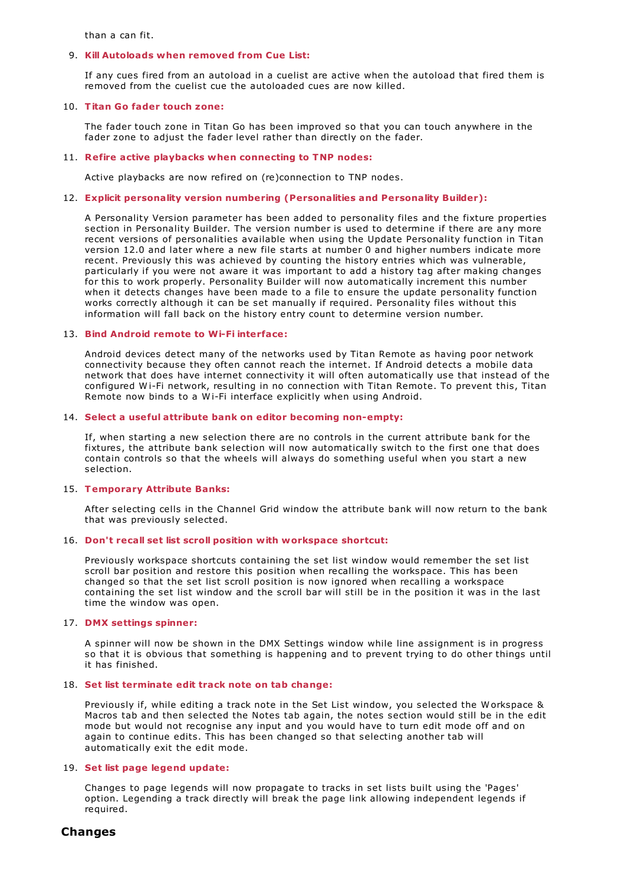than a can fit.

### 9. **Kill Autoloads when removed from Cue List:**

If any cues fired from an autoload in a cuelist are active when the autoload that fired them is removed from the cuelist cue the autoloaded cues are now killed.

### 10. **Titan Go fader touch zone:**

The fader touch zone in Titan Go has been improved so that you can touch anywhere in the fader zone to adjust the fader level rather than directly on the fader.

### 11. **Refire active playbacks when connecting to TNP nodes:**

Active playbacks are now refired on (re)connection to TNP nodes.

## 12. **Explicit personality version numbering (Personalities and Personality Builder):**

A Personality Version parameter has been added to personality files and the fixture properties section in Personality Builder. The version number is used to determine if there are any more recent versions of personalities available when using the Update Personality function in Titan version 12.0 and later where a new file starts at number 0 and higher numbers indicate more recent. Previously this was achieved by counting the history entries which was vulnerable, particularly if you were not aware it was important to add a history tag after making changes for this to work properly. Personality Builder will now automatically increment this number when it detects changes have been made to a file to ensure the update personality function works correctly although it can be set manually if required. Personality files without this information will fall back on the history entry count to determine version number.

## 13. **Bind Android remote to Wi-Fi interface:**

Android devices detect many of the networks used by Titan Remote as having poor network connectivity because they often cannot reach the internet. If Android detects a mobile data network that does have internet connectivity it will often automatically use that instead of the configured Wi-Fi network, resulting in no connection with Titan Remote. To prevent this, Titan Remote now binds to a Wi-Fi interface explicitly when using Android.

### 14. **Select a useful attribute bank on editor becoming non-empty:**

If, when starting a new selection there are no controls in the current attribute bank for the fixtures, the attribute bank selection will now automatically switch to the first one that does contain controls so that the wheels will always do something useful when you start a new selection.

## 15. **Temporary Attribute Banks:**

After selecting cells in the Channel Grid window the attribute bank will now return to the bank that was previously selected.

#### 16. **Don't recall set list scroll position with workspace shortcut:**

Previously workspace shortcuts containing the set list window would remember the set list scroll bar position and restore this position when recalling the workspace. This has been changed so that the set list scroll position is now ignored when recalling a workspace containing the set list window and the scroll bar will still be in the position it was in the last time the window was open.

#### 17. **DMX settings spinner:**

A spinner will now be shown in the DMX Settings window while line assignment is in progress so that it is obvious that something is happening and to prevent trying to do other things until it has finished.

## 18. **Set list terminate edit track note on tab change:**

Previously if, while editing a track note in the Set List window, you selected the Workspace & Macros tab and then selected the Notes tab again, the notes section would still be in the edit mode but would not recognise any input and you would have to turn edit mode off and on again to continue edits. This has been changed so that selecting another tab will automatically exit the edit mode.

#### 19. **Set list page legend update:**

Changes to page legends will now propagate to tracks in set lists built using the 'Pages' option. Legending a track directly will break the page link allowing independent legends if required.

## **Changes**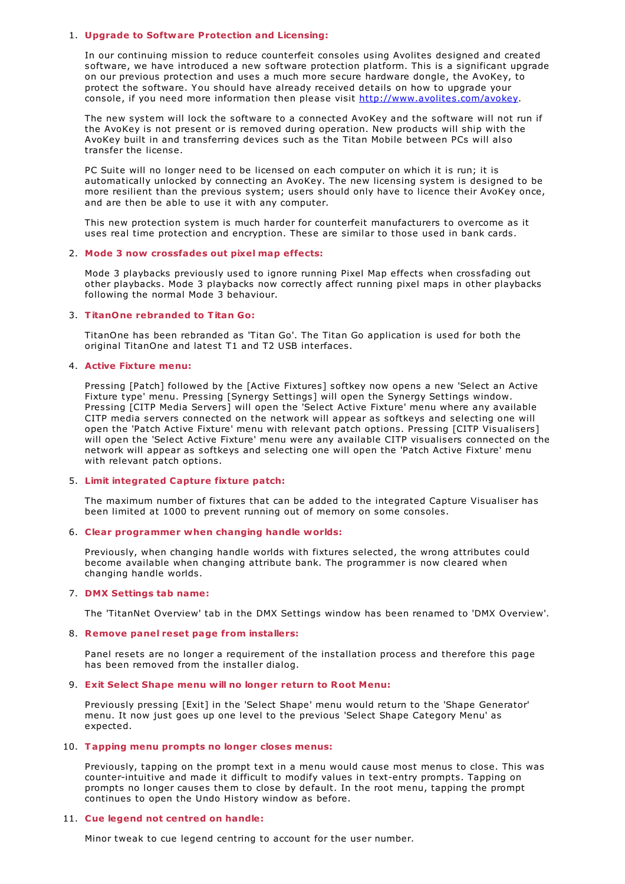### 1. **Upgrade to Software Protection and Licensing:**

In our continuing mission to reduce counterfeit consoles using Avolites designed and created software, we have introduced a new software protection platform. This is a significant upgrade on our previous protection and uses a much more secure hardware dongle, the AvoKey, to protect the software. You should have already received details on how to upgrade your console, if you need more information then please visit <http://www.avolites.com/avokey>.

The new system will lock the software to a connected AvoKey and the software will not run if the AvoKey is not present or is removed during operation. New products will ship with the AvoKey built in and transferring devices such as the Titan Mobile between PCs will also transfer the license.

PC Suite will no longer need to be licensed on each computer on which it is run; it is automatically unlocked by connecting an AvoKey. The new licensing system is designed to be more resilient than the previous system; users should only have to licence their AvoKey once, and are then be able to use it with any computer.

This new protection system is much harder for counterfeit manufacturers to overcome as it uses real time protection and encryption. These are similar to those used in bank cards.

#### 2. **Mode 3 now crossfades out pixel map effects:**

Mode 3 playbacks previously used to ignore running Pixel Map effects when crossfading out other playbacks. Mode 3 playbacks now correctly affect running pixel maps in other playbacks following the normal Mode 3 behaviour.

## 3. **TitanOne rebranded to Titan Go:**

TitanOne has been rebranded as 'Titan Go'. The Titan Go application is used for both the original TitanOne and latest T1 and T2 USB interfaces.

## 4. **Active Fixture menu:**

Pressing [Patch] followed by the [Active Fixtures] softkey now opens a new 'Select an Active Fixture type' menu. Pressing [Synergy Settings] will open the Synergy Settings window. Pressing [CITP Media Servers] will open the 'Select Active Fixture' menu where any available CITP media servers connected on the network will appear as softkeys and selecting one will open the 'Patch Active Fixture' menu with relevant patch options. Pressing [CITP Visualisers] will open the 'Select Active Fixture' menu were any available CITP visualisers connected on the network will appear as softkeys and selecting one will open the 'Patch Active Fixture' menu with relevant patch options.

## 5. **Limit integrated Capture fixture patch:**

The maximum number of fixtures that can be added to the integrated Capture Visualiser has been limited at 1000 to prevent running out of memory on some consoles.

## 6. **Clear programmer when changing handle worlds:**

Previously, when changing handle worlds with fixtures selected, the wrong attributes could become available when changing attribute bank. The programmer is now cleared when changing handle worlds.

## 7. **DMX Settings tab name:**

The 'TitanNet Overview' tab in the DMX Settings window has been renamed to 'DMX Overview'.

#### 8. **Remove panel reset page from installers:**

Panel resets are no longer a requirement of the installation process and therefore this page has been removed from the installer dialog.

## 9. **Exit Select Shape menu will no longer return to Root Menu:**

Previously pressing [Exit] in the 'Select Shape' menu would return to the 'Shape Generator' menu. It now just goes up one level to the previous 'Select Shape Category Menu' as expected.

### 10. **Tapping menu prompts no longer closes menus:**

Previously, tapping on the prompt text in a menu would cause most menus to close. This was counter-intuitive and made it difficult to modify values in text-entry prompts. Tapping on prompts no longer causes them to close by default. In the root menu, tapping the prompt continues to open the Undo History window as before.

#### 11. **Cue legend not centred on handle:**

Minor tweak to cue legend centring to account for the user number.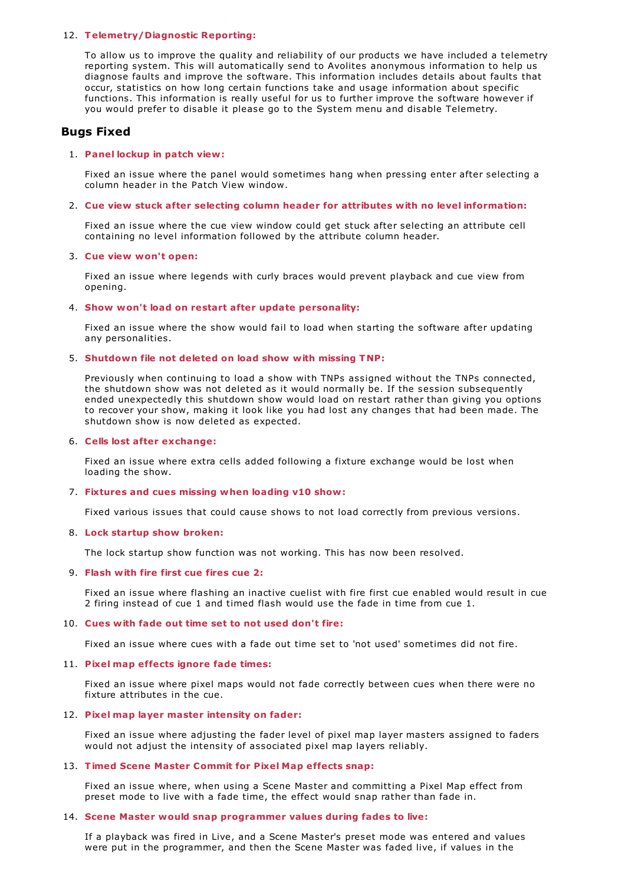## 12. **Telemetry/Diagnostic Reporting:**

To allow us to improve the quality and reliability of our products we have included a telemetry reporting system. This will automatically send to Avolites anonymous information to help us diagnose faults and improve the software. This information includes details about faults that occur, statistics on how long certain functions take and usage information about specific functions. This information is really useful for us to further improve the software however if you would prefer to disable it please go to the System menu and disable Telemetry.

# **Bugs Fixed**

## 1. **Panel lockup in patch view:**

Fixed an issue where the panel would sometimes hang when pressing enter after selecting a column header in the Patch View window.

#### 2. **Cue view stuck after selecting column header for attributes with no level information:**

Fixed an issue where the cue view window could get stuck after selecting an attribute cell containing no level information followed by the attribute column header.

#### 3. **Cue view won't open:**

Fixed an issue where legends with curly braces would prevent playback and cue view from opening.

#### 4. **Show won't load on restart after update personality:**

Fixed an issue where the show would fail to load when starting the software after updating any personalities.

### 5. **Shutdown file not deleted on load show with missing TNP:**

Previously when continuing to load a show with TNPs assigned without the TNPs connected, the shutdown show was not deleted as it would normally be. If the session subsequently ended unexpectedly this shutdown show would load on restart rather than giving you options to recover your show, making it look like you had lost any changes that had been made. The shutdown show is now deleted as expected.

#### 6. **Cells lost after exchange:**

Fixed an issue where extra cells added following a fixture exchange would be lost when loading the show.

### 7. **Fixtures and cues missing when loading v10 show:**

Fixed various issues that could cause shows to not load correctly from previous versions.

### 8. **Lock startup show broken:**

The lock startup show function was not working. This has now been resolved.

## 9. **Flash with fire first cue fires cue 2:**

Fixed an issue where flashing an inactive cuelist with fire first cue enabled would result in cue 2 firing instead of cue 1 and timed flash would use the fade in time from cue 1.

#### 10. **Cues with fade out time set to not used don't fire:**

Fixed an issue where cues with a fade out time set to 'not used' sometimes did not fire.

## 11. **Pixel map effects ignore fade times:**

Fixed an issue where pixel maps would not fade correctly between cues when there were no fixture attributes in the cue.

## 12. **Pixel map layer master intensity on fader:**

Fixed an issue where adjusting the fader level of pixel map layer masters assigned to faders would not adjust the intensity of associated pixel map layers reliably.

## 13. **Timed Scene Master Commit for Pixel Map effects snap:**

Fixed an issue where, when using a Scene Master and committing a Pixel Map effect from preset mode to live with a fade time, the effect would snap rather than fade in.

#### 14. **Scene Master would snap programmer values during fades to live:**

If a playback was fired in Live, and a Scene Master's preset mode was entered and values were put in the programmer, and then the Scene Master was faded live, if values in the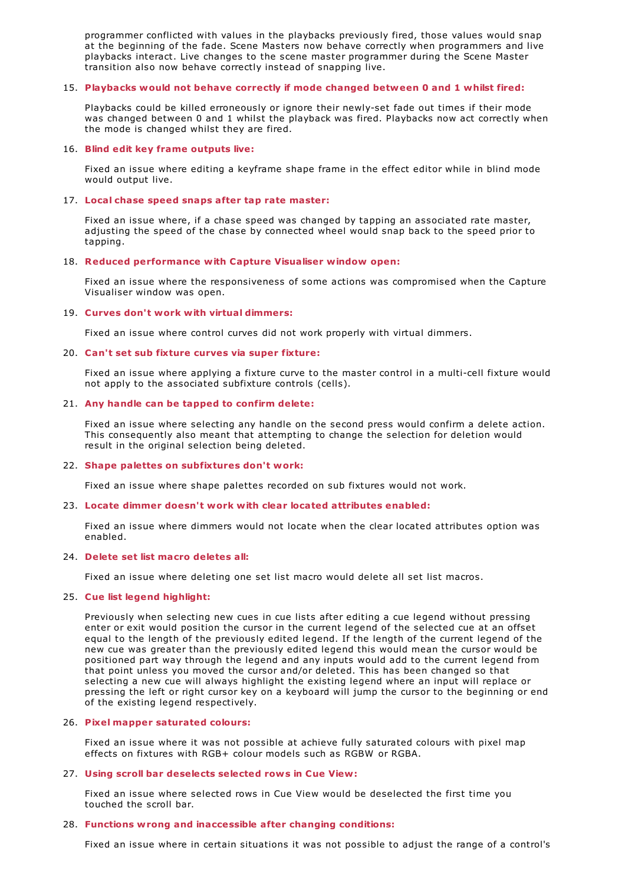programmer conflicted with values in the playbacks previously fired, those values would snap at the beginning of the fade. Scene Masters now behave correctly when programmers and live playbacks interact. Live changes to the scene master programmer during the Scene Master transition also now behave correctly instead of snapping live.

## 15. **Playbacks would not behave correctly if mode changed between 0 and 1 whilst fired:**

Playbacks could be killed erroneously or ignore their newly-set fade out times if their mode was changed between 0 and 1 whilst the playback was fired. Playbacks now act correctly when the mode is changed whilst they are fired.

### 16. **Blind edit key frame outputs live:**

Fixed an issue where editing a keyframe shape frame in the effect editor while in blind mode would output live.

### 17. **Local chase speed snaps after tap rate master:**

Fixed an issue where, if a chase speed was changed by tapping an associated rate master, adjusting the speed of the chase by connected wheel would snap back to the speed prior to tapping.

### 18. **Reduced performance with Capture Visualiser window open:**

Fixed an issue where the responsiveness of some actions was compromised when the Capture Visualiser window was open.

### 19. **Curves don't work with virtual dimmers:**

Fixed an issue where control curves did not work properly with virtual dimmers.

### 20. **Can't set sub fixture curves via super fixture:**

Fixed an issue where applying a fixture curve to the master control in a multi-cell fixture would not apply to the associated subfixture controls (cells).

## 21. **Any handle can be tapped to confirm delete:**

Fixed an issue where selecting any handle on the second press would confirm a delete action. This consequently also meant that attempting to change the selection for deletion would result in the original selection being deleted.

#### 22. **Shape palettes on subfixtures don't work:**

Fixed an issue where shape palettes recorded on sub fixtures would not work.

#### 23. **Locate dimmer doesn't work with clear located attributes enabled:**

Fixed an issue where dimmers would not locate when the clear located attributes option was enabled.

#### 24. **Delete set list macro deletes all:**

Fixed an issue where deleting one set list macro would delete all set list macros.

#### 25. **Cue list legend highlight:**

Previously when selecting new cues in cue lists after editing a cue legend without pressing enter or exit would position the cursor in the current legend of the selected cue at an offset equal to the length of the previously edited legend. If the length of the current legend of the new cue was greater than the previously edited legend this would mean the cursor would be positioned part way through the legend and any inputs would add to the current legend from that point unless you moved the cursor and/or deleted. This has been changed so that selecting a new cue will always highlight the existing legend where an input will replace or pressing the left or right cursor key on a keyboard will jump the cursor to the beginning or end of the existing legend respectively.

## 26. **Pixel mapper saturated colours:**

Fixed an issue where it was not possible at achieve fully saturated colours with pixel map effects on fixtures with RGB+ colour models such as RGBW or RGBA.

#### 27. **Using scroll bar deselects selected rows in Cue View:**

Fixed an issue where selected rows in Cue View would be deselected the first time you touched the scroll bar.

## 28. **Functions wrong and inaccessible after changing conditions:**

Fixed an issue where in certain situations it was not possible to adjust the range of a control's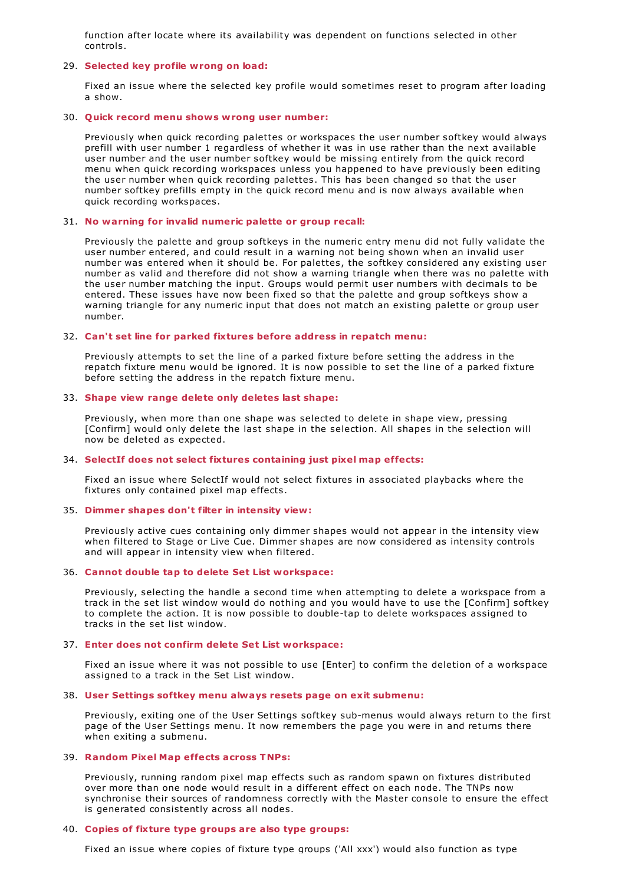function after locate where its availability was dependent on functions selected in other controls.

## 29. **Selected key profile wrong on load:**

Fixed an issue where the selected key profile would sometimes reset to program after loading a show.

#### 30. **Quick record menu shows wrong user number:**

Previously when quick recording palettes or workspaces the user number softkey would always prefill with user number 1 regardless of whether it was in use rather than the next available user number and the user number softkey would be missing entirely from the quick record menu when quick recording workspaces unless you happened to have previously been editing the user number when quick recording palettes. This has been changed so that the user number softkey prefills empty in the quick record menu and is now always available when quick recording workspaces.

### 31. **No warning for invalid numeric palette or group recall:**

Previously the palette and group softkeys in the numeric entry menu did not fully validate the user number entered, and could result in a warning not being shown when an invalid user number was entered when it should be. For palettes, the softkey considered any existing user number as valid and therefore did not show a warning triangle when there was no palette with the user number matching the input. Groups would permit user numbers with decimals to be entered. These issues have now been fixed so that the palette and group softkeys show a warning triangle for any numeric input that does not match an existing palette or group user number.

### 32. **Can't set line for parked fixtures before address in repatch menu:**

Previously attempts to set the line of a parked fixture before setting the address in the repatch fixture menu would be ignored. It is now possible to set the line of a parked fixture before setting the address in the repatch fixture menu.

## 33. **Shape view range delete only deletes last shape:**

Previously, when more than one shape was selected to delete in shape view, pressing [Confirm] would only delete the last shape in the selection. All shapes in the selection will now be deleted as expected.

#### 34. **SelectIf does not select fixtures containing just pixel map effects:**

Fixed an issue where SelectIf would not select fixtures in associated playbacks where the fixtures only contained pixel map effects.

#### 35. **Dimmer shapes don't filter in intensity view:**

Previously active cues containing only dimmer shapes would not appear in the intensity view when filtered to Stage or Live Cue. Dimmer shapes are now considered as intensity controls and will appear in intensity view when filtered.

## 36. **Cannot double tap to delete Set List workspace:**

Previously, selecting the handle a second time when attempting to delete a workspace from a track in the set list window would do nothing and you would have to use the [Confirm] softkey to complete the action. It is now possible to double-tap to delete workspaces assigned to tracks in the set list window.

#### 37. **Enter does not confirm delete Set List workspace:**

Fixed an issue where it was not possible to use [Enter] to confirm the deletion of a workspace assigned to a track in the Set List window.

#### 38. **User Settings softkey menu always resets page on exit submenu:**

Previously, exiting one of the User Settings softkey sub-menus would always return to the first page of the User Settings menu. It now remembers the page you were in and returns there when exiting a submenu.

## 39. **Random Pixel Map effects across TNPs:**

Previously, running random pixel map effects such as random spawn on fixtures distributed over more than one node would result in a different effect on each node. The TNPs now synchronise their sources of randomness correctly with the Master console to ensure the effect is generated consistently across all nodes.

#### 40. **Copies of fixture type groups are also type groups:**

Fixed an issue where copies of fixture type groups ('All xxx') would also function as type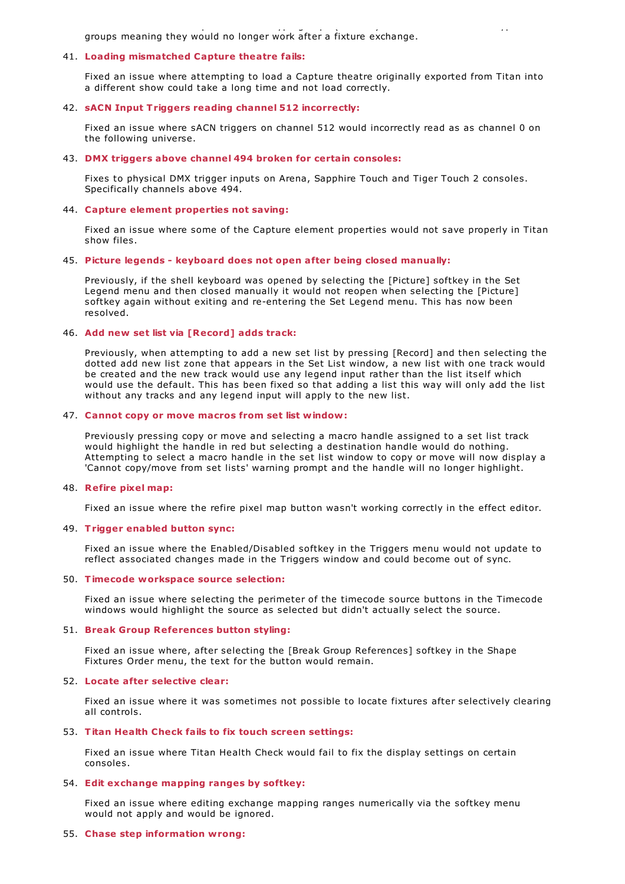Fixed and issue where  $\lambda$  also function as type groups ( groups meaning they would no longer work after a fixture exchange.

### 41. **Loading mismatched Capture theatre fails:**

Fixed an issue where attempting to load a Capture theatre originally exported from Titan into a different show could take a long time and not load correctly.

## 42. **sACN Input Triggers reading channel 512 incorrectly:**

Fixed an issue where sACN triggers on channel 512 would incorrectly read as as channel 0 on the following universe.

#### 43. **DMX triggers above channel 494 broken for certain consoles:**

Fixes to physical DMX trigger inputs on Arena, Sapphire Touch and Tiger Touch 2 consoles. Specifically channels above 494.

### 44. **Capture element properties not saving:**

Fixed an issue where some of the Capture element properties would not save properly in Titan show files.

### 45. **Picture legends - keyboard does not open after being closed manually:**

Previously, if the shell keyboard was opened by selecting the [Picture] softkey in the Set Legend menu and then closed manually it would not reopen when selecting the [Picture] softkey again without exiting and re-entering the Set Legend menu. This has now been resolved.

## 46. **Add new set list via [Record] adds track:**

Previously, when attempting to add a new set list by pressing [Record] and then selecting the dotted add new list zone that appears in the Set List window, a new list with one track would be created and the new track would use any legend input rather than the list itself which would use the default. This has been fixed so that adding a list this way will only add the list without any tracks and any legend input will apply to the new list.

### 47. **Cannot copy or move macros from set list window:**

Previously pressing copy or move and selecting a macro handle assigned to a set list track would highlight the handle in red but selecting a destination handle would do nothing. Attempting to select a macro handle in the set list window to copy or move will now display a 'Cannot copy/move from set lists' warning prompt and the handle will no longer highlight.

## 48. **Refire pixel map:**

Fixed an issue where the refire pixel map button wasn't working correctly in the effect editor.

#### 49. **Trigger enabled button sync:**

Fixed an issue where the Enabled/Disabled softkey in the Triggers menu would not update to reflect associated changes made in the Triggers window and could become out of sync.

#### 50. **Timecode workspace source selection:**

Fixed an issue where selecting the perimeter of the timecode source buttons in the Timecode windows would highlight the source as selected but didn't actually select the source.

#### 51. **Break Group References button styling:**

Fixed an issue where, after selecting the [Break Group References] softkey in the Shape Fixtures Order menu, the text for the button would remain.

## 52. **Locate after selective clear:**

Fixed an issue where it was sometimes not possible to locate fixtures after selectively clearing all controls.

## 53. **Titan Health Check fails to fix touch screen settings:**

Fixed an issue where Titan Health Check would fail to fix the display settings on certain consoles.

#### 54. **Edit exchange mapping ranges by softkey:**

Fixed an issue where editing exchange mapping ranges numerically via the softkey menu would not apply and would be ignored.

## 55. **Chase step information wrong:**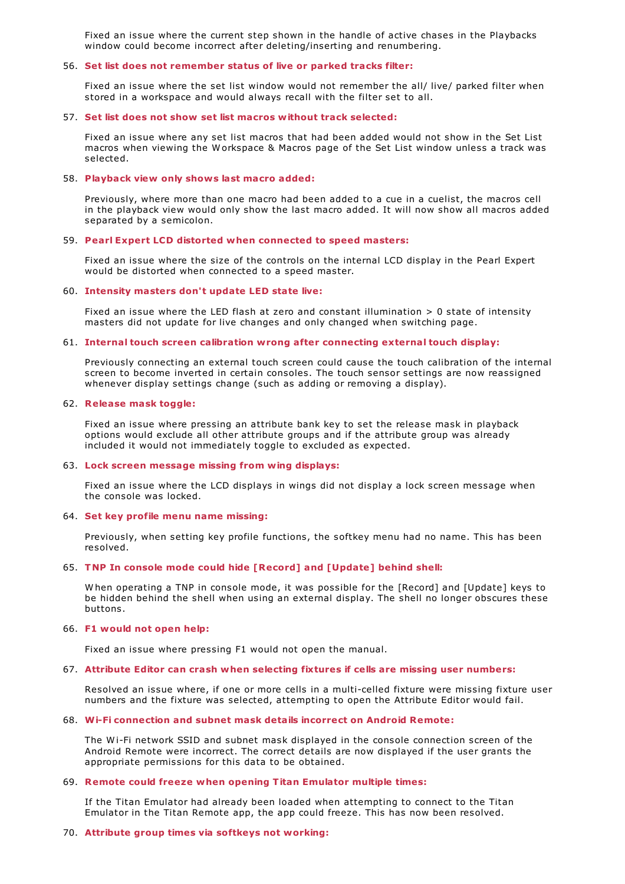Fixed an issue where the current step shown in the handle of active chases in the Playbacks window could become incorrect after deleting/inserting and renumbering.

#### 56. **Set list does not remember status of live or parked tracks filter:**

Fixed an issue where the set list window would not remember the all/ live/ parked filter when stored in a workspace and would always recall with the filter set to all.

#### 57. **Set list does not show set list macros without track selected:**

Fixed an issue where any set list macros that had been added would not show in the Set List macros when viewing the W orkspace & Macros page of the Set List window unless a track was selected.

#### 58. **Playback view only shows last macro added:**

Previously, where more than one macro had been added to a cue in a cuelist, the macros cell in the playback view would only show the last macro added. It will now show all macros added separated by a semicolon.

#### 59. **Pearl Expert LCD distorted when connected to speed masters:**

Fixed an issue where the size of the controls on the internal LCD display in the Pearl Expert would be distorted when connected to a speed master.

#### 60. **Intensity masters don't update LED state live:**

Fixed an issue where the LED flash at zero and constant illumination > 0 state of intensity masters did not update for live changes and only changed when switching page.

### 61. **Internal touch screen calibration wrong after connecting external touch display:**

Previously connecting an external touch screen could cause the touch calibration of the internal screen to become inverted in certain consoles. The touch sensor settings are now reassigned whenever display settings change (such as adding or removing a display).

#### 62. **Release mask toggle:**

Fixed an issue where pressing an attribute bank key to set the release mask in playback options would exclude all other attribute groups and if the attribute group was already included it would not immediately toggle to excluded as expected.

#### 63. **Lock screen message missing from wing displays:**

Fixed an issue where the LCD displays in wings did not display a lock screen message when the console was locked.

#### 64. **Set key profile menu name missing:**

Previously, when setting key profile functions, the softkey menu had no name. This has been resolved.

### 65. **TNP In console mode could hide [Record] and [Update] behind shell:**

W hen operating a TNP in console mode, it was possible for the [Record] and [Update] keys to be hidden behind the shell when using an external display. The shell no longer obscures these buttons.

#### 66. **F1 would not open help:**

Fixed an issue where pressing F1 would not open the manual.

#### 67. **Attribute Editor can crash when selecting fixtures if cells are missing user numbers:**

Resolved an issue where, if one or more cells in a multi-celled fixture were missing fixture user numbers and the fixture was selected, attempting to open the Attribute Editor would fail.

## 68. **Wi-Fi connection and subnet mask details incorrect on Android Remote:**

The Wi-Fi network SSID and subnet mask displayed in the console connection screen of the Android Remote were incorrect. The correct details are now displayed if the user grants the appropriate permissions for this data to be obtained.

#### 69. **Remote could freeze when opening Titan Emulator multiple times:**

If the Titan Emulator had already been loaded when attempting to connect to the Titan Emulator in the Titan Remote app, the app could freeze. This has now been resolved.

#### 70. **Attribute group times via softkeys not working:**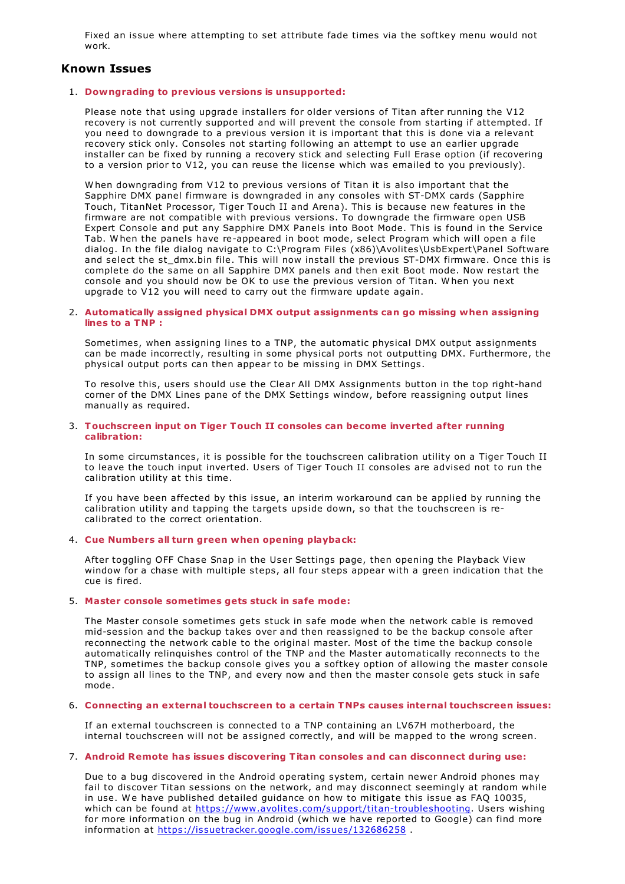Fixed an issue where attempting to set attribute fade times via the softkey menu would not work.

## **Known Issues**

## 1. **Downgrading to previous versions is unsupported:**

Please note that using upgrade installers for older versions of Titan after running the V12 recovery is not currently supported and will prevent the console from starting if attempted. If you need to downgrade to a previous version it is important that this is done via a relevant recovery stick only. Consoles not starting following an attempt to use an earlier upgrade installer can be fixed by running a recovery stick and selecting Full Erase option (if recovering to a version prior to V12, you can reuse the license which was emailed to you previously).

W hen downgrading from V12 to previous versions of Titan it is also important that the Sapphire DMX panel firmware is downgraded in any consoles with ST-DMX cards (Sapphire Touch, TitanNet Processor, Tiger Touch II and Arena). This is because new features in the firmware are not compatible with previous versions. To downgrade the firmware open USB Expert Console and put any Sapphire DMX Panels into Boot Mode. This is found in the Service Tab. W hen the panels have re-appeared in boot mode, select Program which will open a file dialog. In the file dialog navigate to C:\Program Files (x86)\Avolites\UsbExpert\Panel Software and select the st\_dmx.bin file. This will now install the previous ST-DMX firmware. Once this is complete do the same on all Sapphire DMX panels and then exit Boot mode. Now restart the console and you should now be OK to use the previous version of Titan. W hen you next upgrade to V12 you will need to carry out the firmware update again.

#### 2. **Automatically assigned physical DMX output assignments can go missing when assigning lines to a TNP :**

Sometimes, when assigning lines to a TNP, the automatic physical DMX output assignments can be made incorrectly, resulting in some physical ports not outputting DMX. Furthermore, the physical output ports can then appear to be missing in DMX Settings.

To resolve this, users should use the Clear All DMX Assignments button in the top right-hand corner of the DMX Lines pane of the DMX Settings window, before reassigning output lines manually as required.

### 3. **Touchscreen input on Tiger Touch II consoles can become inverted after running calibration:**

In some circumstances, it is possible for the touchscreen calibration utility on a Tiger Touch II to leave the touch input inverted. Users of Tiger Touch II consoles are advised not to run the calibration utility at this time.

If you have been affected by this issue, an interim workaround can be applied by running the calibration utility and tapping the targets upside down, so that the touchscreen is recalibrated to the correct orientation.

## 4. **Cue Numbers all turn green when opening playback:**

After toggling OFF Chase Snap in the User Settings page, then opening the Playback View window for a chase with multiple steps, all four steps appear with a green indication that the cue is fired.

## 5. **Master console sometimes gets stuck in safe mode:**

The Master console sometimes gets stuck in safe mode when the network cable is removed mid-session and the backup takes over and then reassigned to be the backup console after reconnecting the network cable to the original master. Most of the time the backup console automatically relinquishes control of the TNP and the Master automatically reconnects to the TNP, sometimes the backup console gives you a softkey option of allowing the master console to assign all lines to the TNP, and every now and then the master console gets stuck in safe mode.

#### 6. **Connecting an external touchscreen to a certain TNPs causes internal touchscreen issues:**

If an external touchscreen is connected to a TNP containing an LV67H motherboard, the internal touchscreen will not be assigned correctly, and will be mapped to the wrong screen.

## 7. **Android Remote has issues discovering Titan consoles and can disconnect during use:**

Due to a bug discovered in the Android operating system, certain newer Android phones may fail to discover Titan sessions on the network, and may disconnect seemingly at random while in use. W e have published detailed guidance on how to mitigate this issue as FAQ 10035, which can be found at <https://www.avolites.com/support/titan-troubleshooting>. Users wishing for more information on the bug in Android (which we have reported to Google) can find more information at <https://issuetracker.google.com/issues/132686258>.